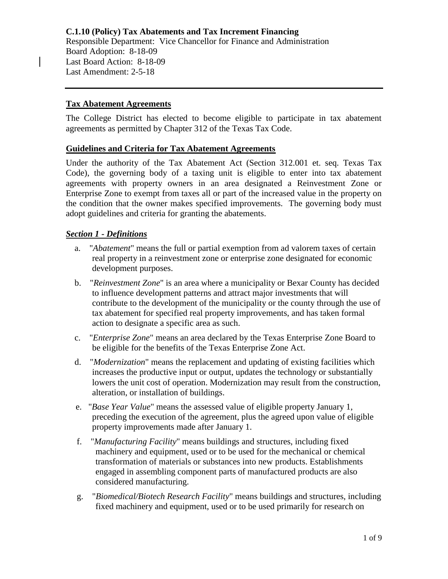## **Tax Abatement Agreements**

The College District has elected to become eligible to participate in tax abatement agreements as permitted by Chapter 312 of the Texas Tax Code.

#### **Guidelines and Criteria for Tax Abatement Agreements**

Under the authority of the Tax Abatement Act (Section 312.001 et. seq. Texas Tax Code), the governing body of a taxing unit is eligible to enter into tax abatement agreements with property owners in an area designated a Reinvestment Zone or Enterprise Zone to exempt from taxes all or part of the increased value in the property on the condition that the owner makes specified improvements. The governing body must adopt guidelines and criteria for granting the abatements.

## *Section 1 - Definitions*

- a. "*Abatement*" means the full or partial exemption from ad valorem taxes of certain real property in a reinvestment zone or enterprise zone designated for economic development purposes.
- b. "*Reinvestment Zone*" is an area where a municipality or Bexar County has decided to influence development patterns and attract major investments that will contribute to the development of the municipality or the county through the use of tax abatement for specified real property improvements, and has taken formal action to designate a specific area as such.
- c. "*Enterprise Zone*" means an area declared by the Texas Enterprise Zone Board to be eligible for the benefits of the Texas Enterprise Zone Act.
- d. "*Modernization*" means the replacement and updating of existing facilities which increases the productive input or output, updates the technology or substantially lowers the unit cost of operation. Modernization may result from the construction, alteration, or installation of buildings.
- e. "*Base Year Value*" means the assessed value of eligible property January 1, preceding the execution of the agreement, plus the agreed upon value of eligible property improvements made after January 1.
- f. "*Manufacturing Facility*" means buildings and structures, including fixed machinery and equipment, used or to be used for the mechanical or chemical transformation of materials or substances into new products. Establishments engaged in assembling component parts of manufactured products are also considered manufacturing.
- g. "*Biomedical/Biotech Research Facility*" means buildings and structures, including fixed machinery and equipment, used or to be used primarily for research on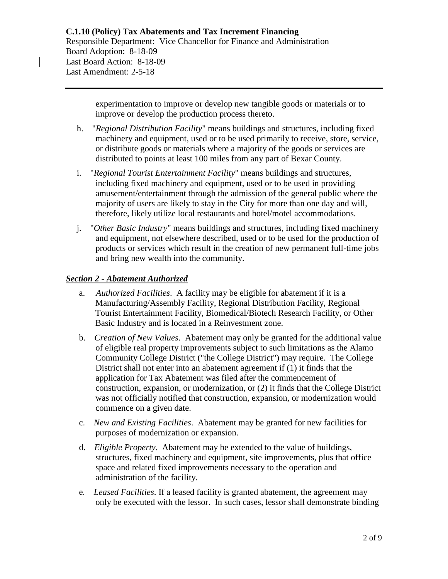experimentation to improve or develop new tangible goods or materials or to improve or develop the production process thereto.

- h. "*Regional Distribution Facility*" means buildings and structures, including fixed machinery and equipment, used or to be used primarily to receive, store, service, or distribute goods or materials where a majority of the goods or services are distributed to points at least 100 miles from any part of Bexar County.
- i. "*Regional Tourist Entertainment Facility*" means buildings and structures, including fixed machinery and equipment, used or to be used in providing amusement/entertainment through the admission of the general public where the majority of users are likely to stay in the City for more than one day and will, therefore, likely utilize local restaurants and hotel/motel accommodations.
- j. "*Other Basic Industry*" means buildings and structures, including fixed machinery and equipment, not elsewhere described, used or to be used for the production of products or services which result in the creation of new permanent full-time jobs and bring new wealth into the community.

# *Section 2 - Abatement Authorized*

- a. *Authorized Facilities*. A facility may be eligible for abatement if it is a Manufacturing/Assembly Facility, Regional Distribution Facility, Regional Tourist Entertainment Facility, Biomedical/Biotech Research Facility, or Other Basic Industry and is located in a Reinvestment zone.
- b. *Creation of New Values*. Abatement may only be granted for the additional value of eligible real property improvements subject to such limitations as the Alamo Community College District ("the College District") may require. The College District shall not enter into an abatement agreement if (1) it finds that the application for Tax Abatement was filed after the commencement of construction, expansion, or modernization, or (2) it finds that the College District was not officially notified that construction, expansion, or modernization would commence on a given date.
- c. *New and Existing Facilities*. Abatement may be granted for new facilities for purposes of modernization or expansion.
- d. *Eligible Property*. Abatement may be extended to the value of buildings, structures, fixed machinery and equipment, site improvements, plus that office space and related fixed improvements necessary to the operation and administration of the facility.
- e*. Leased Facilities*. If a leased facility is granted abatement, the agreement may only be executed with the lessor. In such cases, lessor shall demonstrate binding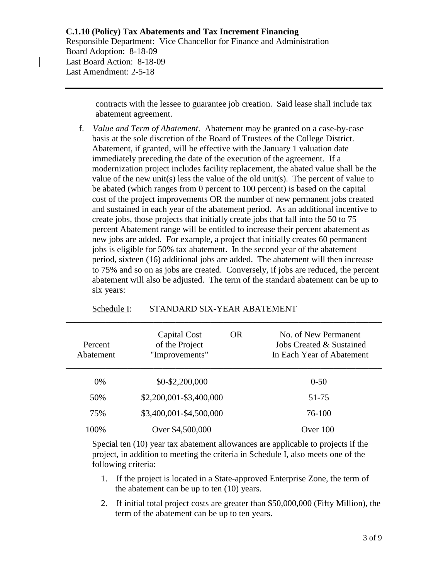contracts with the lessee to guarantee job creation. Said lease shall include tax abatement agreement.

 f. *Value and Term of Abatement*. Abatement may be granted on a case-by-case basis at the sole discretion of the Board of Trustees of the College District. Abatement, if granted, will be effective with the January 1 valuation date immediately preceding the date of the execution of the agreement. If a modernization project includes facility replacement, the abated value shall be the value of the new unit(s) less the value of the old unit(s). The percent of value to be abated (which ranges from 0 percent to 100 percent) is based on the capital cost of the project improvements OR the number of new permanent jobs created and sustained in each year of the abatement period. As an additional incentive to create jobs, those projects that initially create jobs that fall into the 50 to 75 percent Abatement range will be entitled to increase their percent abatement as new jobs are added. For example, a project that initially creates 60 permanent jobs is eligible for 50% tax abatement. In the second year of the abatement period, sixteen (16) additional jobs are added. The abatement will then increase to 75% and so on as jobs are created. Conversely, if jobs are reduced, the percent abatement will also be adjusted. The term of the standard abatement can be up to six years:

| Percent<br>Abatement | <b>OR</b><br>Capital Cost<br>of the Project<br>"Improvements" | No. of New Permanent<br>Jobs Created & Sustained<br>In Each Year of Abatement |
|----------------------|---------------------------------------------------------------|-------------------------------------------------------------------------------|
| $0\%$                | \$0-\$2,200,000                                               | $0 - 50$                                                                      |
| 50%                  | \$2,200,001-\$3,400,000                                       | 51-75                                                                         |
| 75%                  | \$3,400,001-\$4,500,000                                       | 76-100                                                                        |
| 100%                 | Over \$4,500,000                                              | Over $100$                                                                    |

\_\_\_\_\_\_\_\_\_\_\_\_\_\_\_\_\_\_\_\_\_\_\_\_\_\_\_\_\_\_\_\_\_\_\_\_\_\_\_\_\_\_\_\_\_\_\_\_\_\_\_\_\_\_\_\_\_\_\_\_\_\_\_\_\_\_\_\_\_\_\_\_

#### Schedule I: STANDARD SIX-YEAR ABATEMENT

 Special ten (10) year tax abatement allowances are applicable to projects if the project, in addition to meeting the criteria in Schedule I, also meets one of the following criteria:

- 1. If the project is located in a State-approved Enterprise Zone, the term of the abatement can be up to ten (10) years.
- 2. If initial total project costs are greater than \$50,000,000 (Fifty Million), the term of the abatement can be up to ten years.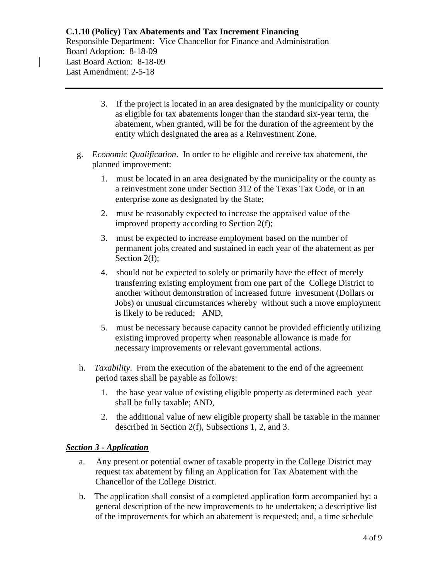- 3. If the project is located in an area designated by the municipality or county as eligible for tax abatements longer than the standard six-year term, the abatement, when granted, will be for the duration of the agreement by the entity which designated the area as a Reinvestment Zone.
- g. *Economic Qualification*. In order to be eligible and receive tax abatement, the planned improvement:
	- 1. must be located in an area designated by the municipality or the county as a reinvestment zone under Section 312 of the Texas Tax Code, or in an enterprise zone as designated by the State;
	- 2. must be reasonably expected to increase the appraised value of the improved property according to Section 2(f);
	- 3. must be expected to increase employment based on the number of permanent jobs created and sustained in each year of the abatement as per Section 2(f);
	- 4. should not be expected to solely or primarily have the effect of merely transferring existing employment from one part of the College District to another without demonstration of increased future investment (Dollars or Jobs) or unusual circumstances whereby without such a move employment is likely to be reduced; AND,
	- 5. must be necessary because capacity cannot be provided efficiently utilizing existing improved property when reasonable allowance is made for necessary improvements or relevant governmental actions.
- h. *Taxability*. From the execution of the abatement to the end of the agreement period taxes shall be payable as follows:
	- 1. the base year value of existing eligible property as determined each year shall be fully taxable; AND,
	- 2. the additional value of new eligible property shall be taxable in the manner described in Section 2(f), Subsections 1, 2, and 3.

# *Section 3 - Application*

- a. Any present or potential owner of taxable property in the College District may request tax abatement by filing an Application for Tax Abatement with the Chancellor of the College District.
- b. The application shall consist of a completed application form accompanied by: a general description of the new improvements to be undertaken; a descriptive list of the improvements for which an abatement is requested; and, a time schedule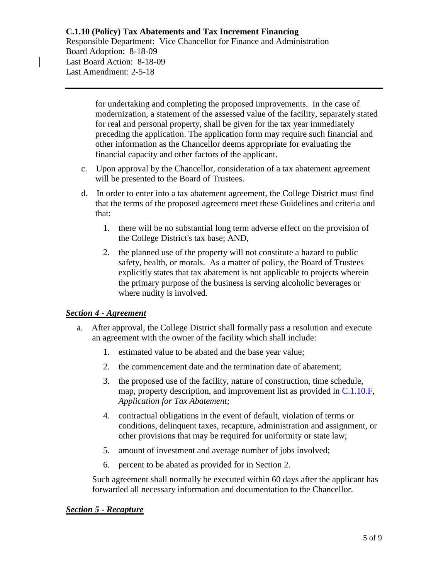# **C.1.10 (Policy) Tax Abatements and Tax Increment Financing**

Responsible Department: Vice Chancellor for Finance and Administration Board Adoption: 8-18-09 Last Board Action: 8-18-09 Last Amendment: 2-5-18

> for undertaking and completing the proposed improvements. In the case of modernization, a statement of the assessed value of the facility, separately stated for real and personal property, shall be given for the tax year immediately preceding the application. The application form may require such financial and other information as the Chancellor deems appropriate for evaluating the financial capacity and other factors of the applicant.

- c. Upon approval by the Chancellor, consideration of a tax abatement agreement will be presented to the Board of Trustees.
- d. In order to enter into a tax abatement agreement, the College District must find that the terms of the proposed agreement meet these Guidelines and criteria and that:
	- 1. there will be no substantial long term adverse effect on the provision of the College District's tax base; AND,
	- 2. the planned use of the property will not constitute a hazard to public safety, health, or morals. As a matter of policy, the Board of Trustees explicitly states that tax abatement is not applicable to projects wherein the primary purpose of the business is serving alcoholic beverages or where nudity is involved.

# *Section 4 - Agreement*

- a. After approval, the College District shall formally pass a resolution and execute an agreement with the owner of the facility which shall include:
	- 1. estimated value to be abated and the base year value;
	- 2. the commencement date and the termination date of abatement;
	- 3. the proposed use of the facility, nature of construction, time schedule, map, property description, and improvement list as provided in [C.1.10.F,](https://www.alamo.edu/siteassets/district/about-us/leadership/board-of-trustees/policies-pdfs/section-c/c.1.10.f-form.pdf) *Application for Tax Abatement;*
	- 4. contractual obligations in the event of default, violation of terms or conditions, delinquent taxes, recapture, administration and assignment, or other provisions that may be required for uniformity or state law;
	- 5. amount of investment and average number of jobs involved;
	- 6. percent to be abated as provided for in Section 2.

 Such agreement shall normally be executed within 60 days after the applicant has forwarded all necessary information and documentation to the Chancellor.

#### *Section 5 - Recapture*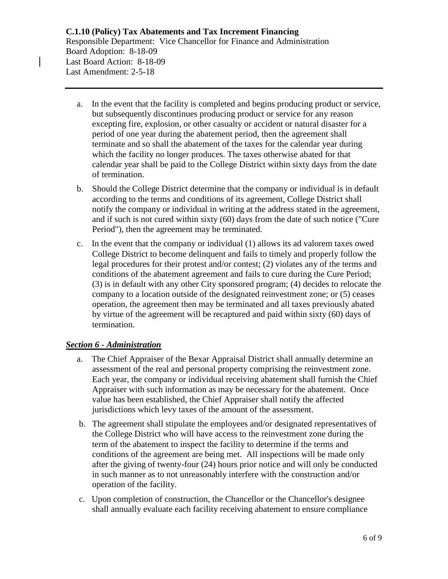- a. In the event that the facility is completed and begins producing product or service, but subsequently discontinues producing product or service for any reason excepting fire, explosion, or other casualty or accident or natural disaster for a period of one year during the abatement period, then the agreement shall terminate and so shall the abatement of the taxes for the calendar year during which the facility no longer produces. The taxes otherwise abated for that calendar year shall be paid to the College District within sixty days from the date of termination.
- b. Should the College District determine that the company or individual is in default according to the terms and conditions of its agreement, College District shall notify the company or individual in writing at the address stated in the agreement, and if such is not cured within sixty (60) days from the date of such notice ("Cure Period"), then the agreement may be terminated.
- c. In the event that the company or individual (1) allows its ad valorem taxes owed College District to become delinquent and fails to timely and properly follow the legal procedures for their protest and/or contest; (2) violates any of the terms and conditions of the abatement agreement and fails to cure during the Cure Period; (3) is in default with any other City sponsored program; (4) decides to relocate the company to a location outside of the designated reinvestment zone; or (5) ceases operation, the agreement then may be terminated and all taxes previously abated by virtue of the agreement will be recaptured and paid within sixty (60) days of termination.

# *Section 6 - Administration*

- a. The Chief Appraiser of the Bexar Appraisal District shall annually determine an assessment of the real and personal property comprising the reinvestment zone. Each year, the company or individual receiving abatement shall furnish the Chief Appraiser with such information as may be necessary for the abatement. Once value has been established, the Chief Appraiser shall notify the affected jurisdictions which levy taxes of the amount of the assessment.
- b. The agreement shall stipulate the employees and/or designated representatives of the College District who will have access to the reinvestment zone during the term of the abatement to inspect the facility to determine if the terms and conditions of the agreement are being met. All inspections will be made only after the giving of twenty-four (24) hours prior notice and will only be conducted in such manner as to not unreasonably interfere with the construction and/or operation of the facility.
- c. Upon completion of construction, the Chancellor or the Chancellor's designee shall annually evaluate each facility receiving abatement to ensure compliance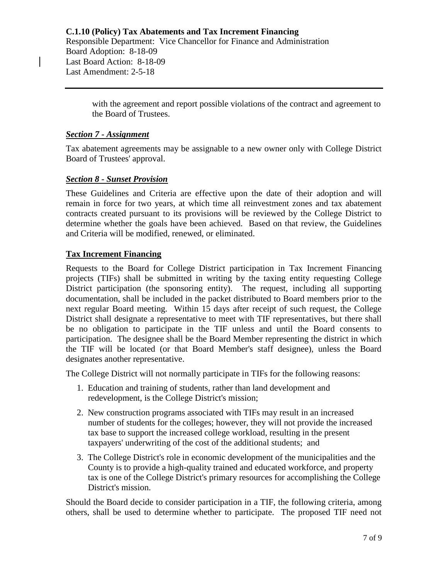**C.1.10 (Policy) Tax Abatements and Tax Increment Financing** Responsible Department: Vice Chancellor for Finance and Administration Board Adoption: 8-18-09 Last Board Action: 8-18-09 Last Amendment: 2-5-18

> with the agreement and report possible violations of the contract and agreement to the Board of Trustees.

## *Section 7 - Assignment*

Tax abatement agreements may be assignable to a new owner only with College District Board of Trustees' approval.

## *Section 8 - Sunset Provision*

These Guidelines and Criteria are effective upon the date of their adoption and will remain in force for two years, at which time all reinvestment zones and tax abatement contracts created pursuant to its provisions will be reviewed by the College District to determine whether the goals have been achieved. Based on that review, the Guidelines and Criteria will be modified, renewed, or eliminated.

## **Tax Increment Financing**

Requests to the Board for College District participation in Tax Increment Financing projects (TIFs) shall be submitted in writing by the taxing entity requesting College District participation (the sponsoring entity). The request, including all supporting documentation, shall be included in the packet distributed to Board members prior to the next regular Board meeting. Within 15 days after receipt of such request, the College District shall designate a representative to meet with TIF representatives, but there shall be no obligation to participate in the TIF unless and until the Board consents to participation. The designee shall be the Board Member representing the district in which the TIF will be located (or that Board Member's staff designee), unless the Board designates another representative.

The College District will not normally participate in TIFs for the following reasons:

- 1. Education and training of students, rather than land development and redevelopment, is the College District's mission;
- 2. New construction programs associated with TIFs may result in an increased number of students for the colleges; however, they will not provide the increased tax base to support the increased college workload, resulting in the present taxpayers' underwriting of the cost of the additional students; and
- 3. The College District's role in economic development of the municipalities and the County is to provide a high-quality trained and educated workforce, and property tax is one of the College District's primary resources for accomplishing the College District's mission.

Should the Board decide to consider participation in a TIF, the following criteria, among others, shall be used to determine whether to participate. The proposed TIF need not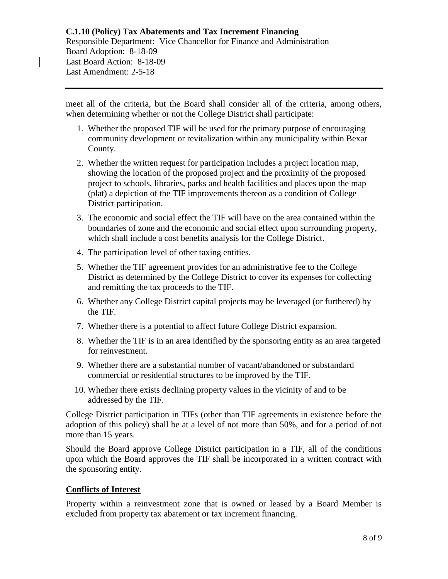meet all of the criteria, but the Board shall consider all of the criteria, among others, when determining whether or not the College District shall participate:

- 1. Whether the proposed TIF will be used for the primary purpose of encouraging community development or revitalization within any municipality within Bexar County.
- 2. Whether the written request for participation includes a project location map, showing the location of the proposed project and the proximity of the proposed project to schools, libraries, parks and health facilities and places upon the map (plat) a depiction of the TIF improvements thereon as a condition of College District participation.
- 3. The economic and social effect the TIF will have on the area contained within the boundaries of zone and the economic and social effect upon surrounding property, which shall include a cost benefits analysis for the College District.
- 4. The participation level of other taxing entities.
- 5. Whether the TIF agreement provides for an administrative fee to the College District as determined by the College District to cover its expenses for collecting and remitting the tax proceeds to the TIF.
- 6. Whether any College District capital projects may be leveraged (or furthered) by the TIF.
- 7. Whether there is a potential to affect future College District expansion.
- 8. Whether the TIF is in an area identified by the sponsoring entity as an area targeted for reinvestment.
- 9. Whether there are a substantial number of vacant/abandoned or substandard commercial or residential structures to be improved by the TIF.
- 10. Whether there exists declining property values in the vicinity of and to be addressed by the TIF.

College District participation in TIFs (other than TIF agreements in existence before the adoption of this policy) shall be at a level of not more than 50%, and for a period of not more than 15 years.

Should the Board approve College District participation in a TIF, all of the conditions upon which the Board approves the TIF shall be incorporated in a written contract with the sponsoring entity.

# **Conflicts of Interest**

Property within a reinvestment zone that is owned or leased by a Board Member is excluded from property tax abatement or tax increment financing.